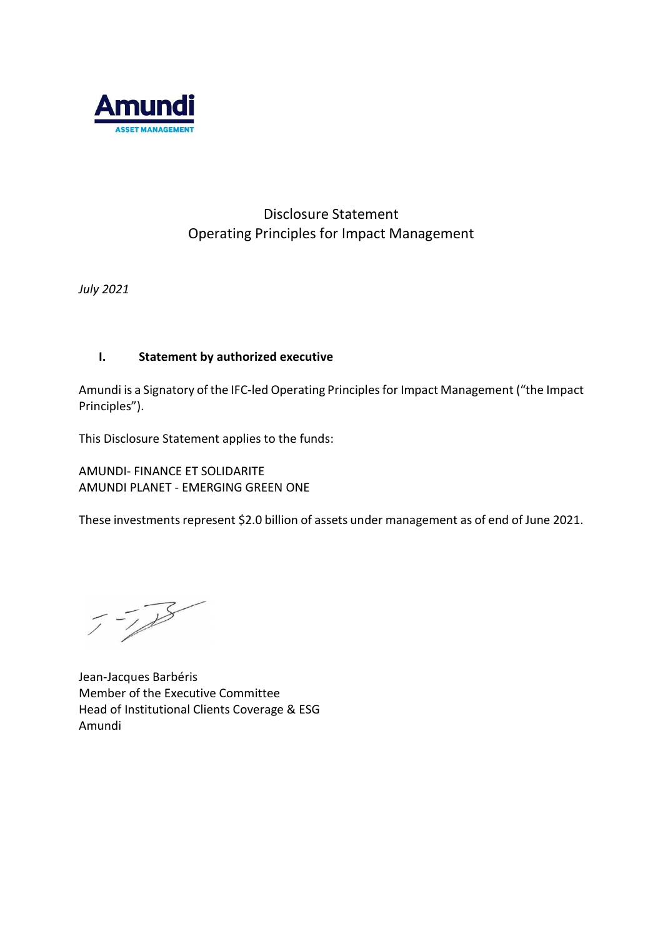

# Disclosure Statement Operating Principles for Impact Management

July 2021

# I. Statement by authorized executive

Amundi is a Signatory of the IFC-led Operating Principles for Impact Management ("the Impact Principles").

This Disclosure Statement applies to the funds:

AMUNDI- FINANCE ET SOLIDARITE AMUNDI PLANET - EMERGING GREEN ONE

These investments represent \$2.0 billion of assets under management as of end of June 2021.

Jean-Jacques Barbéris Member of the Executive Committee Head of Institutional Clients Coverage & ESG Amundi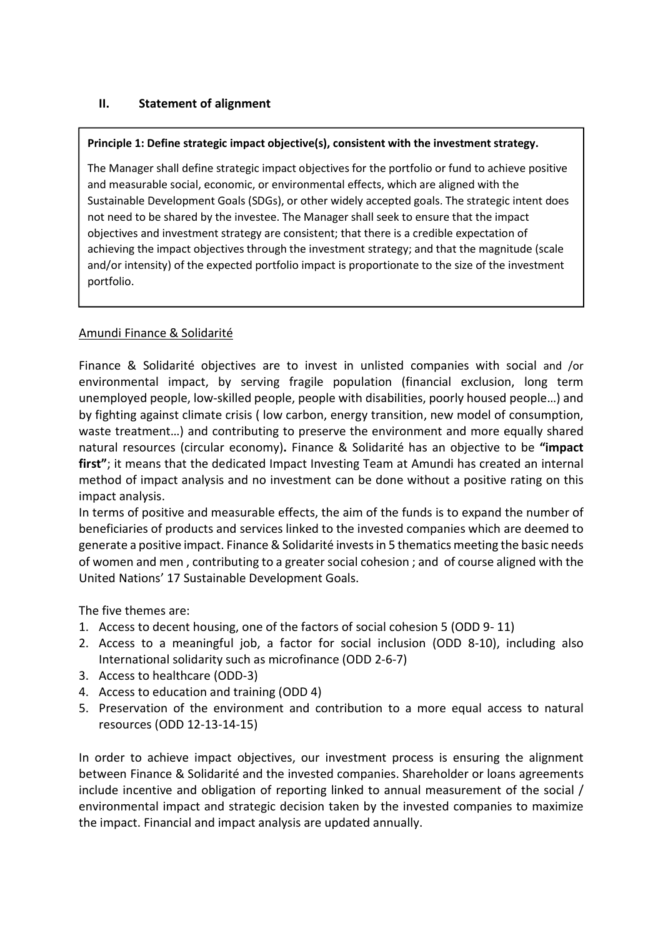# II. Statement of alignment

#### Principle 1: Define strategic impact objective(s), consistent with the investment strategy.

The Manager shall define strategic impact objectives for the portfolio or fund to achieve positive and measurable social, economic, or environmental effects, which are aligned with the Sustainable Development Goals (SDGs), or other widely accepted goals. The strategic intent does not need to be shared by the investee. The Manager shall seek to ensure that the impact objectives and investment strategy are consistent; that there is a credible expectation of achieving the impact objectives through the investment strategy; and that the magnitude (scale and/or intensity) of the expected portfolio impact is proportionate to the size of the investment portfolio.

### Amundi Finance & Solidarité

Finance & Solidarité objectives are to invest in unlisted companies with social and /or environmental impact, by serving fragile population (financial exclusion, long term unemployed people, low-skilled people, people with disabilities, poorly housed people…) and by fighting against climate crisis ( low carbon, energy transition, new model of consumption, waste treatment…) and contributing to preserve the environment and more equally shared natural resources (circular economy). Finance & Solidarité has an objective to be "impact first"; it means that the dedicated Impact Investing Team at Amundi has created an internal method of impact analysis and no investment can be done without a positive rating on this impact analysis.

In terms of positive and measurable effects, the aim of the funds is to expand the number of beneficiaries of products and services linked to the invested companies which are deemed to generate a positive impact. Finance & Solidarité invests in 5 thematics meeting the basic needs of women and men , contributing to a greater social cohesion ; and of course aligned with the United Nations' 17 Sustainable Development Goals.

The five themes are:

- 1. Access to decent housing, one of the factors of social cohesion 5 (ODD 9- 11)
- 2. Access to a meaningful job, a factor for social inclusion (ODD 8-10), including also International solidarity such as microfinance (ODD 2-6-7)
- 3. Access to healthcare (ODD-3)
- 4. Access to education and training (ODD 4)
- 5. Preservation of the environment and contribution to a more equal access to natural resources (ODD 12-13-14-15)

In order to achieve impact objectives, our investment process is ensuring the alignment between Finance & Solidarité and the invested companies. Shareholder or loans agreements include incentive and obligation of reporting linked to annual measurement of the social / environmental impact and strategic decision taken by the invested companies to maximize the impact. Financial and impact analysis are updated annually.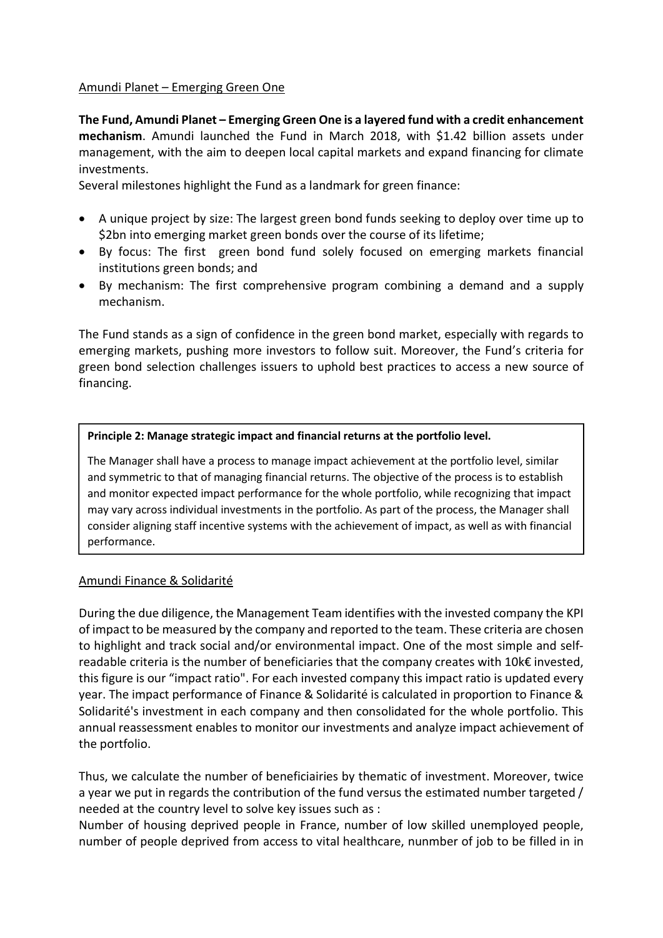### Amundi Planet – Emerging Green One

The Fund, Amundi Planet – Emerging Green One is a layered fund with a credit enhancement mechanism. Amundi launched the Fund in March 2018, with \$1.42 billion assets under management, with the aim to deepen local capital markets and expand financing for climate investments.

Several milestones highlight the Fund as a landmark for green finance:

- A unique project by size: The largest green bond funds seeking to deploy over time up to \$2bn into emerging market green bonds over the course of its lifetime;
- By focus: The first green bond fund solely focused on emerging markets financial institutions green bonds; and
- By mechanism: The first comprehensive program combining a demand and a supply mechanism.

The Fund stands as a sign of confidence in the green bond market, especially with regards to emerging markets, pushing more investors to follow suit. Moreover, the Fund's criteria for green bond selection challenges issuers to uphold best practices to access a new source of financing.

### Principle 2: Manage strategic impact and financial returns at the portfolio level.

The Manager shall have a process to manage impact achievement at the portfolio level, similar and symmetric to that of managing financial returns. The objective of the process is to establish and monitor expected impact performance for the whole portfolio, while recognizing that impact may vary across individual investments in the portfolio. As part of the process, the Manager shall consider aligning staff incentive systems with the achievement of impact, as well as with financial performance.

# Amundi Finance & Solidarité

During the due diligence, the Management Team identifies with the invested company the KPI of impact to be measured by the company and reported to the team. These criteria are chosen to highlight and track social and/or environmental impact. One of the most simple and selfreadable criteria is the number of beneficiaries that the company creates with 10k€ invested, this figure is our "impact ratio". For each invested company this impact ratio is updated every year. The impact performance of Finance & Solidarité is calculated in proportion to Finance & Solidarité's investment in each company and then consolidated for the whole portfolio. This annual reassessment enables to monitor our investments and analyze impact achievement of the portfolio.

Thus, we calculate the number of beneficiairies by thematic of investment. Moreover, twice a year we put in regards the contribution of the fund versus the estimated number targeted / needed at the country level to solve key issues such as :

Number of housing deprived people in France, number of low skilled unemployed people, number of people deprived from access to vital healthcare, nunmber of job to be filled in in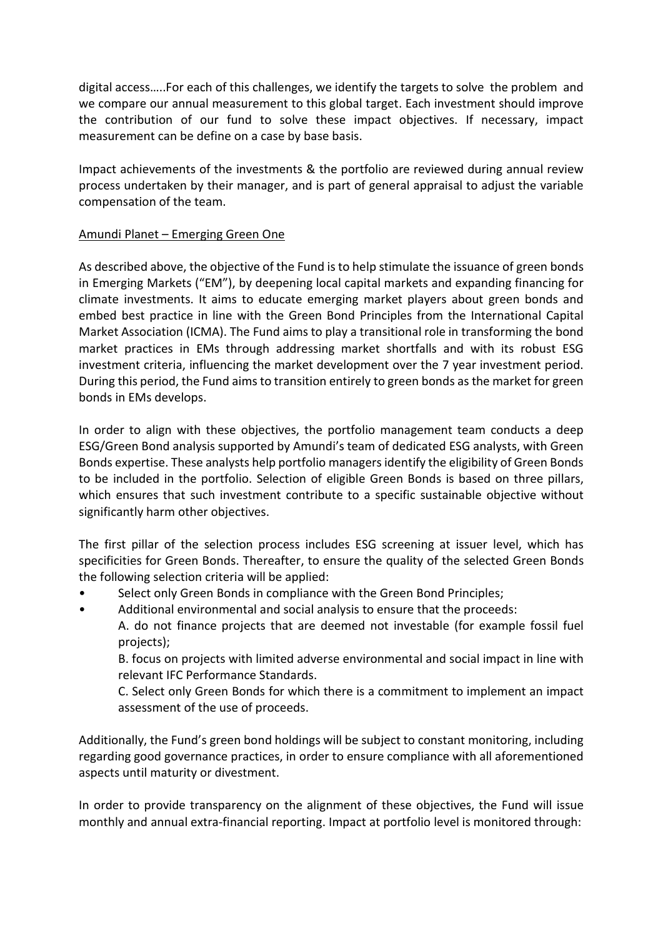digital access…..For each of this challenges, we identify the targets to solve the problem and we compare our annual measurement to this global target. Each investment should improve the contribution of our fund to solve these impact objectives. If necessary, impact measurement can be define on a case by base basis.

Impact achievements of the investments & the portfolio are reviewed during annual review process undertaken by their manager, and is part of general appraisal to adjust the variable compensation of the team.

### Amundi Planet – Emerging Green One

As described above, the objective of the Fund is to help stimulate the issuance of green bonds in Emerging Markets ("EM"), by deepening local capital markets and expanding financing for climate investments. It aims to educate emerging market players about green bonds and embed best practice in line with the Green Bond Principles from the International Capital Market Association (ICMA). The Fund aims to play a transitional role in transforming the bond market practices in EMs through addressing market shortfalls and with its robust ESG investment criteria, influencing the market development over the 7 year investment period. During this period, the Fund aims to transition entirely to green bonds as the market for green bonds in EMs develops.

In order to align with these objectives, the portfolio management team conducts a deep ESG/Green Bond analysis supported by Amundi's team of dedicated ESG analysts, with Green Bonds expertise. These analysts help portfolio managers identify the eligibility of Green Bonds to be included in the portfolio. Selection of eligible Green Bonds is based on three pillars, which ensures that such investment contribute to a specific sustainable objective without significantly harm other objectives.

The first pillar of the selection process includes ESG screening at issuer level, which has specificities for Green Bonds. Thereafter, to ensure the quality of the selected Green Bonds the following selection criteria will be applied:

- Select only Green Bonds in compliance with the Green Bond Principles;
- Additional environmental and social analysis to ensure that the proceeds:
	- A. do not finance projects that are deemed not investable (for example fossil fuel projects);

B. focus on projects with limited adverse environmental and social impact in line with relevant IFC Performance Standards.

C. Select only Green Bonds for which there is a commitment to implement an impact assessment of the use of proceeds.

Additionally, the Fund's green bond holdings will be subject to constant monitoring, including regarding good governance practices, in order to ensure compliance with all aforementioned aspects until maturity or divestment.

In order to provide transparency on the alignment of these objectives, the Fund will issue monthly and annual extra-financial reporting. Impact at portfolio level is monitored through: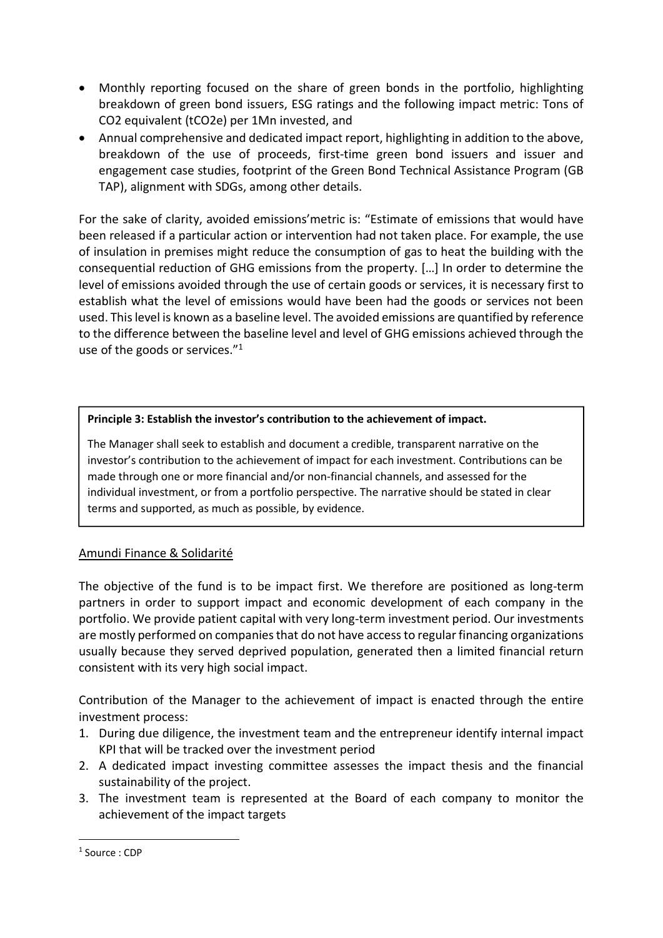- Monthly reporting focused on the share of green bonds in the portfolio, highlighting breakdown of green bond issuers, ESG ratings and the following impact metric: Tons of CO2 equivalent (tCO2e) per 1Mn invested, and
- Annual comprehensive and dedicated impact report, highlighting in addition to the above, breakdown of the use of proceeds, first-time green bond issuers and issuer and engagement case studies, footprint of the Green Bond Technical Assistance Program (GB TAP), alignment with SDGs, among other details.

For the sake of clarity, avoided emissions'metric is: "Estimate of emissions that would have been released if a particular action or intervention had not taken place. For example, the use of insulation in premises might reduce the consumption of gas to heat the building with the consequential reduction of GHG emissions from the property. […] In order to determine the level of emissions avoided through the use of certain goods or services, it is necessary first to establish what the level of emissions would have been had the goods or services not been used. This level is known as a baseline level. The avoided emissions are quantified by reference to the difference between the baseline level and level of GHG emissions achieved through the use of the goods or services."<sup>1</sup>

### Principle 3: Establish the investor's contribution to the achievement of impact.

The Manager shall seek to establish and document a credible, transparent narrative on the investor's contribution to the achievement of impact for each investment. Contributions can be made through one or more financial and/or non-financial channels, and assessed for the individual investment, or from a portfolio perspective. The narrative should be stated in clear terms and supported, as much as possible, by evidence.

# Amundi Finance & Solidarité

The objective of the fund is to be impact first. We therefore are positioned as long-term partners in order to support impact and economic development of each company in the portfolio. We provide patient capital with very long-term investment period. Our investments are mostly performed on companies that do not have access to regular financing organizations usually because they served deprived population, generated then a limited financial return consistent with its very high social impact.

Contribution of the Manager to the achievement of impact is enacted through the entire investment process:

- 1. During due diligence, the investment team and the entrepreneur identify internal impact KPI that will be tracked over the investment period
- 2. A dedicated impact investing committee assesses the impact thesis and the financial sustainability of the project.
- 3. The investment team is represented at the Board of each company to monitor the achievement of the impact targets

-

<sup>1</sup> Source : CDP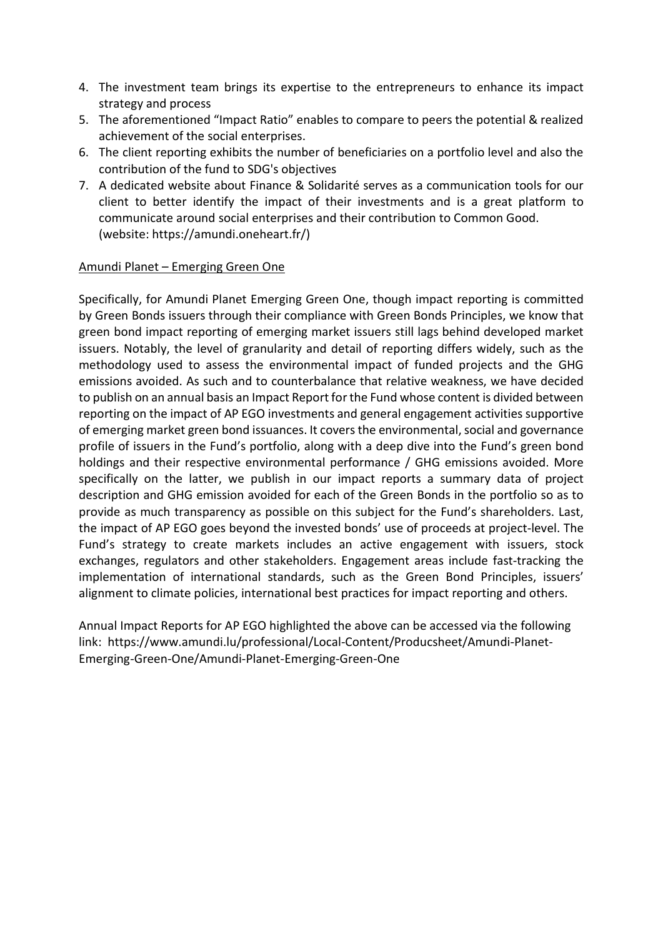- 4. The investment team brings its expertise to the entrepreneurs to enhance its impact strategy and process
- 5. The aforementioned "Impact Ratio" enables to compare to peers the potential & realized achievement of the social enterprises.
- 6. The client reporting exhibits the number of beneficiaries on a portfolio level and also the contribution of the fund to SDG's objectives
- 7. A dedicated website about Finance & Solidarité serves as a communication tools for our client to better identify the impact of their investments and is a great platform to communicate around social enterprises and their contribution to Common Good. (website: https://amundi.oneheart.fr/)

### Amundi Planet – Emerging Green One

Specifically, for Amundi Planet Emerging Green One, though impact reporting is committed by Green Bonds issuers through their compliance with Green Bonds Principles, we know that green bond impact reporting of emerging market issuers still lags behind developed market issuers. Notably, the level of granularity and detail of reporting differs widely, such as the methodology used to assess the environmental impact of funded projects and the GHG emissions avoided. As such and to counterbalance that relative weakness, we have decided to publish on an annual basis an Impact Report for the Fund whose content is divided between reporting on the impact of AP EGO investments and general engagement activities supportive of emerging market green bond issuances. It covers the environmental, social and governance profile of issuers in the Fund's portfolio, along with a deep dive into the Fund's green bond holdings and their respective environmental performance / GHG emissions avoided. More specifically on the latter, we publish in our impact reports a summary data of project description and GHG emission avoided for each of the Green Bonds in the portfolio so as to provide as much transparency as possible on this subject for the Fund's shareholders. Last, the impact of AP EGO goes beyond the invested bonds' use of proceeds at project-level. The Fund's strategy to create markets includes an active engagement with issuers, stock exchanges, regulators and other stakeholders. Engagement areas include fast-tracking the implementation of international standards, such as the Green Bond Principles, issuers' alignment to climate policies, international best practices for impact reporting and others.

Annual Impact Reports for AP EGO highlighted the above can be accessed via the following link: https://www.amundi.lu/professional/Local-Content/Producsheet/Amundi-Planet-Emerging-Green-One/Amundi-Planet-Emerging-Green-One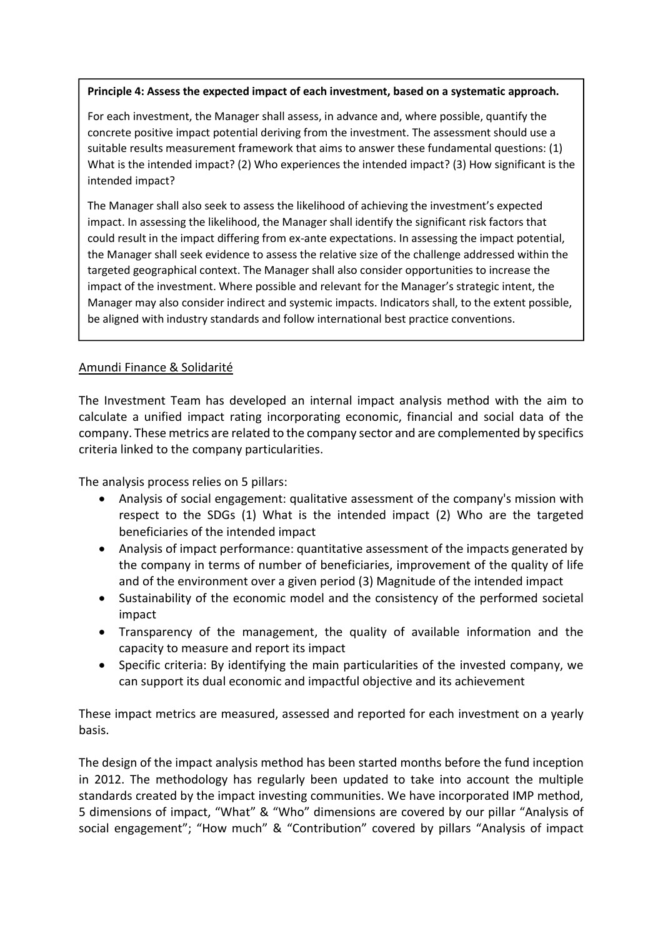### Principle 4: Assess the expected impact of each investment, based on a systematic approach.

For each investment, the Manager shall assess, in advance and, where possible, quantify the concrete positive impact potential deriving from the investment. The assessment should use a suitable results measurement framework that aims to answer these fundamental questions: (1) What is the intended impact? (2) Who experiences the intended impact? (3) How significant is the intended impact?

The Manager shall also seek to assess the likelihood of achieving the investment's expected impact. In assessing the likelihood, the Manager shall identify the significant risk factors that could result in the impact differing from ex-ante expectations. In assessing the impact potential, the Manager shall seek evidence to assess the relative size of the challenge addressed within the targeted geographical context. The Manager shall also consider opportunities to increase the impact of the investment. Where possible and relevant for the Manager's strategic intent, the Manager may also consider indirect and systemic impacts. Indicators shall, to the extent possible, be aligned with industry standards and follow international best practice conventions.

# Amundi Finance & Solidarité

The Investment Team has developed an internal impact analysis method with the aim to calculate a unified impact rating incorporating economic, financial and social data of the company. These metrics are related to the company sector and are complemented by specifics criteria linked to the company particularities.

The analysis process relies on 5 pillars:

- Analysis of social engagement: qualitative assessment of the company's mission with respect to the SDGs (1) What is the intended impact (2) Who are the targeted beneficiaries of the intended impact
- Analysis of impact performance: quantitative assessment of the impacts generated by the company in terms of number of beneficiaries, improvement of the quality of life and of the environment over a given period (3) Magnitude of the intended impact
- Sustainability of the economic model and the consistency of the performed societal impact
- Transparency of the management, the quality of available information and the capacity to measure and report its impact
- Specific criteria: By identifying the main particularities of the invested company, we can support its dual economic and impactful objective and its achievement

These impact metrics are measured, assessed and reported for each investment on a yearly basis.

The design of the impact analysis method has been started months before the fund inception in 2012. The methodology has regularly been updated to take into account the multiple standards created by the impact investing communities. We have incorporated IMP method, 5 dimensions of impact, "What" & "Who" dimensions are covered by our pillar "Analysis of social engagement"; "How much" & "Contribution" covered by pillars "Analysis of impact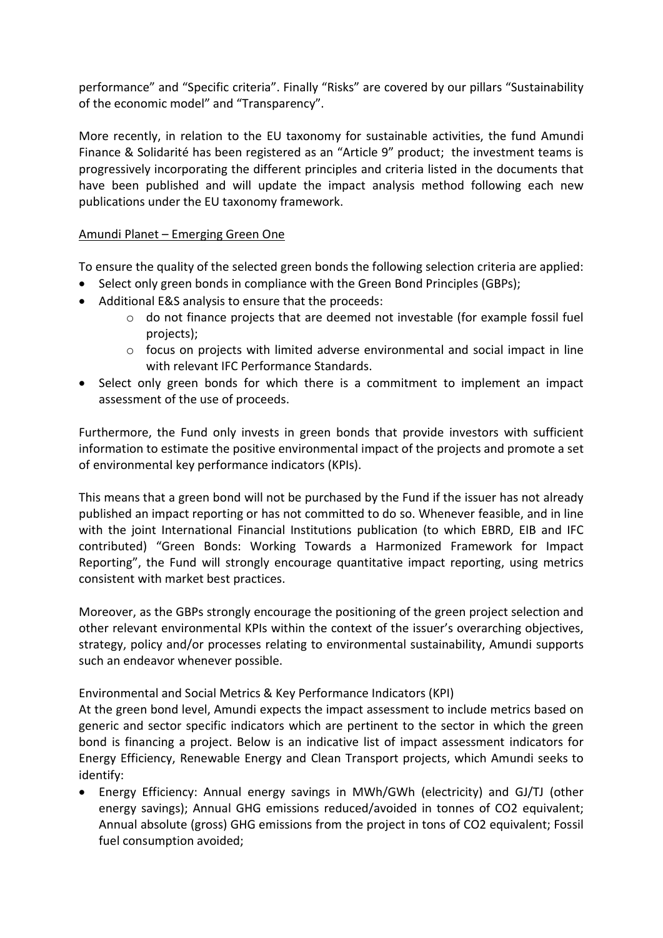performance" and "Specific criteria". Finally "Risks" are covered by our pillars "Sustainability of the economic model" and "Transparency".

More recently, in relation to the EU taxonomy for sustainable activities, the fund Amundi Finance & Solidarité has been registered as an "Article 9" product; the investment teams is progressively incorporating the different principles and criteria listed in the documents that have been published and will update the impact analysis method following each new publications under the EU taxonomy framework.

# Amundi Planet – Emerging Green One

To ensure the quality of the selected green bonds the following selection criteria are applied:

- Select only green bonds in compliance with the Green Bond Principles (GBPs);
- Additional E&S analysis to ensure that the proceeds:
	- $\circ$  do not finance projects that are deemed not investable (for example fossil fuel projects);
	- $\circ$  focus on projects with limited adverse environmental and social impact in line with relevant IFC Performance Standards.
- Select only green bonds for which there is a commitment to implement an impact assessment of the use of proceeds.

Furthermore, the Fund only invests in green bonds that provide investors with sufficient information to estimate the positive environmental impact of the projects and promote a set of environmental key performance indicators (KPIs).

This means that a green bond will not be purchased by the Fund if the issuer has not already published an impact reporting or has not committed to do so. Whenever feasible, and in line with the joint International Financial Institutions publication (to which EBRD, EIB and IFC contributed) "Green Bonds: Working Towards a Harmonized Framework for Impact Reporting", the Fund will strongly encourage quantitative impact reporting, using metrics consistent with market best practices.

Moreover, as the GBPs strongly encourage the positioning of the green project selection and other relevant environmental KPIs within the context of the issuer's overarching objectives, strategy, policy and/or processes relating to environmental sustainability, Amundi supports such an endeavor whenever possible.

Environmental and Social Metrics & Key Performance Indicators (KPI)

At the green bond level, Amundi expects the impact assessment to include metrics based on generic and sector specific indicators which are pertinent to the sector in which the green bond is financing a project. Below is an indicative list of impact assessment indicators for Energy Efficiency, Renewable Energy and Clean Transport projects, which Amundi seeks to identify:

 Energy Efficiency: Annual energy savings in MWh/GWh (electricity) and GJ/TJ (other energy savings); Annual GHG emissions reduced/avoided in tonnes of CO2 equivalent; Annual absolute (gross) GHG emissions from the project in tons of CO2 equivalent; Fossil fuel consumption avoided;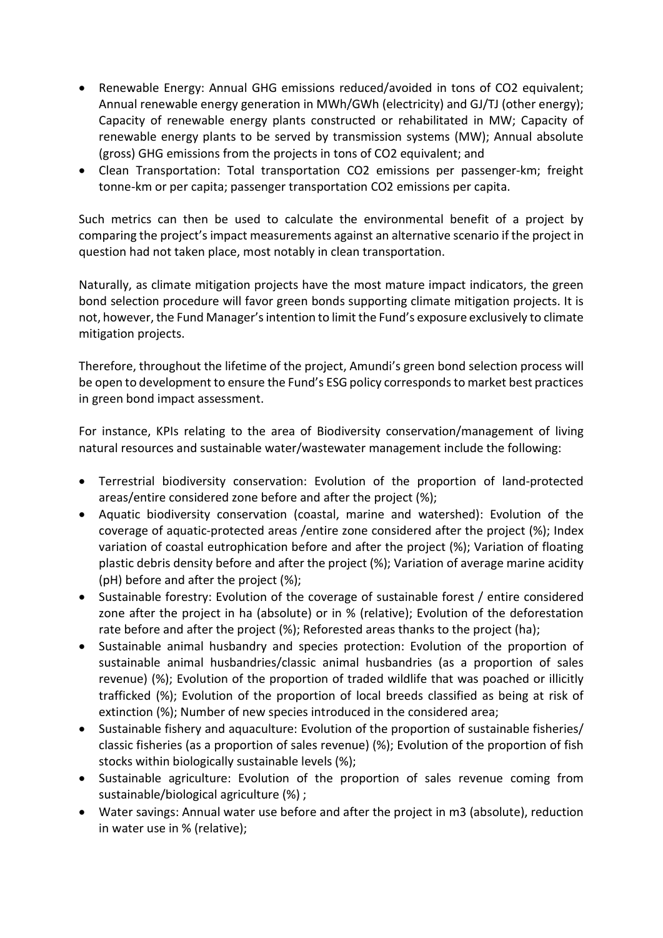- Renewable Energy: Annual GHG emissions reduced/avoided in tons of CO2 equivalent; Annual renewable energy generation in MWh/GWh (electricity) and GJ/TJ (other energy); Capacity of renewable energy plants constructed or rehabilitated in MW; Capacity of renewable energy plants to be served by transmission systems (MW); Annual absolute (gross) GHG emissions from the projects in tons of CO2 equivalent; and
- Clean Transportation: Total transportation CO2 emissions per passenger-km; freight tonne-km or per capita; passenger transportation CO2 emissions per capita.

Such metrics can then be used to calculate the environmental benefit of a project by comparing the project's impact measurements against an alternative scenario if the project in question had not taken place, most notably in clean transportation.

Naturally, as climate mitigation projects have the most mature impact indicators, the green bond selection procedure will favor green bonds supporting climate mitigation projects. It is not, however, the Fund Manager's intention to limit the Fund's exposure exclusively to climate mitigation projects.

Therefore, throughout the lifetime of the project, Amundi's green bond selection process will be open to development to ensure the Fund's ESG policy corresponds to market best practices in green bond impact assessment.

For instance, KPIs relating to the area of Biodiversity conservation/management of living natural resources and sustainable water/wastewater management include the following:

- Terrestrial biodiversity conservation: Evolution of the proportion of land-protected areas/entire considered zone before and after the project (%);
- Aquatic biodiversity conservation (coastal, marine and watershed): Evolution of the coverage of aquatic-protected areas /entire zone considered after the project (%); Index variation of coastal eutrophication before and after the project (%); Variation of floating plastic debris density before and after the project (%); Variation of average marine acidity (pH) before and after the project (%);
- Sustainable forestry: Evolution of the coverage of sustainable forest / entire considered zone after the project in ha (absolute) or in % (relative); Evolution of the deforestation rate before and after the project (%); Reforested areas thanks to the project (ha);
- Sustainable animal husbandry and species protection: Evolution of the proportion of sustainable animal husbandries/classic animal husbandries (as a proportion of sales revenue) (%); Evolution of the proportion of traded wildlife that was poached or illicitly trafficked (%); Evolution of the proportion of local breeds classified as being at risk of extinction (%); Number of new species introduced in the considered area;
- Sustainable fishery and aquaculture: Evolution of the proportion of sustainable fisheries/ classic fisheries (as a proportion of sales revenue) (%); Evolution of the proportion of fish stocks within biologically sustainable levels (%);
- Sustainable agriculture: Evolution of the proportion of sales revenue coming from sustainable/biological agriculture (%) ;
- Water savings: Annual water use before and after the project in m3 (absolute), reduction in water use in % (relative);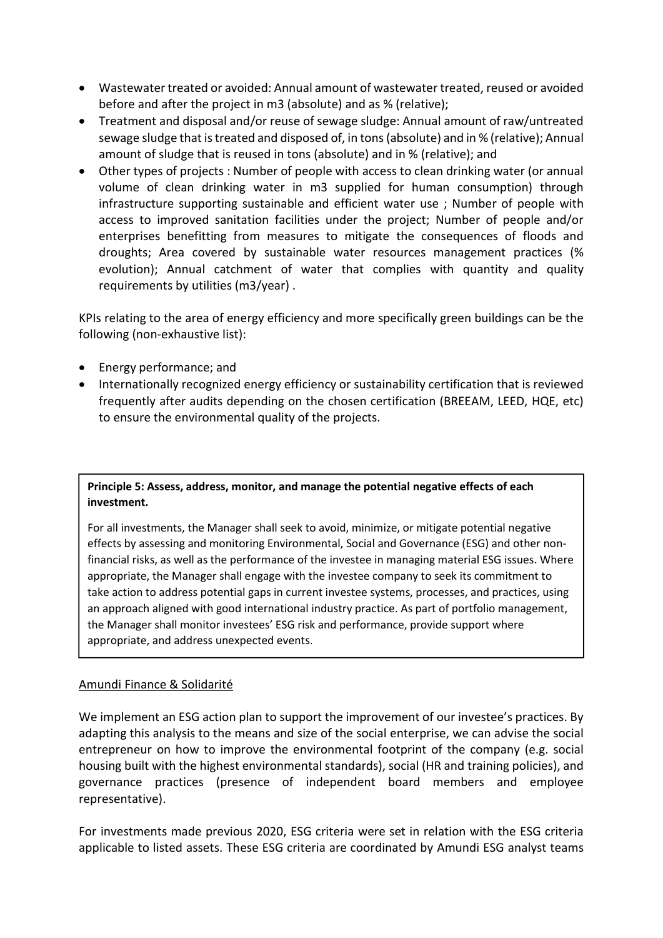- Wastewater treated or avoided: Annual amount of wastewater treated, reused or avoided before and after the project in m3 (absolute) and as % (relative);
- Treatment and disposal and/or reuse of sewage sludge: Annual amount of raw/untreated sewage sludge that is treated and disposed of, in tons (absolute) and in % (relative); Annual amount of sludge that is reused in tons (absolute) and in % (relative); and
- Other types of projects : Number of people with access to clean drinking water (or annual volume of clean drinking water in m3 supplied for human consumption) through infrastructure supporting sustainable and efficient water use ; Number of people with access to improved sanitation facilities under the project; Number of people and/or enterprises benefitting from measures to mitigate the consequences of floods and droughts; Area covered by sustainable water resources management practices (% evolution); Annual catchment of water that complies with quantity and quality requirements by utilities (m3/year) .

KPIs relating to the area of energy efficiency and more specifically green buildings can be the following (non-exhaustive list):

- Energy performance; and
- Internationally recognized energy efficiency or sustainability certification that is reviewed frequently after audits depending on the chosen certification (BREEAM, LEED, HQE, etc) to ensure the environmental quality of the projects.

Principle 5: Assess, address, monitor, and manage the potential negative effects of each investment.

For all investments, the Manager shall seek to avoid, minimize, or mitigate potential negative effects by assessing and monitoring Environmental, Social and Governance (ESG) and other nonfinancial risks, as well as the performance of the investee in managing material ESG issues. Where appropriate, the Manager shall engage with the investee company to seek its commitment to take action to address potential gaps in current investee systems, processes, and practices, using an approach aligned with good international industry practice. As part of portfolio management, the Manager shall monitor investees' ESG risk and performance, provide support where appropriate, and address unexpected events.

# Amundi Finance & Solidarité

We implement an ESG action plan to support the improvement of our investee's practices. By adapting this analysis to the means and size of the social enterprise, we can advise the social entrepreneur on how to improve the environmental footprint of the company (e.g. social housing built with the highest environmental standards), social (HR and training policies), and governance practices (presence of independent board members and employee representative).

For investments made previous 2020, ESG criteria were set in relation with the ESG criteria applicable to listed assets. These ESG criteria are coordinated by Amundi ESG analyst teams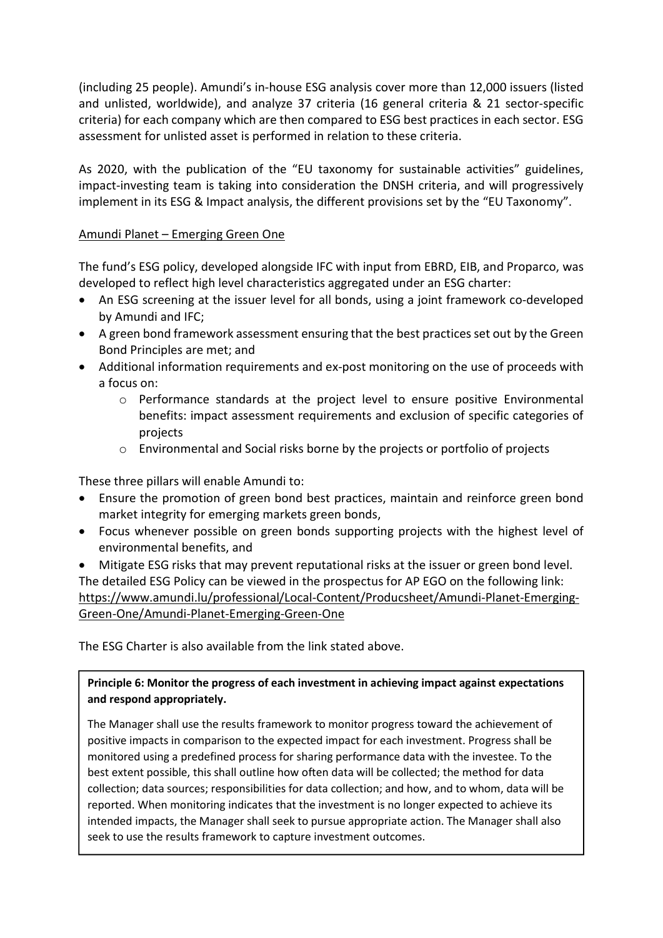(including 25 people). Amundi's in-house ESG analysis cover more than 12,000 issuers (listed and unlisted, worldwide), and analyze 37 criteria (16 general criteria & 21 sector-specific criteria) for each company which are then compared to ESG best practices in each sector. ESG assessment for unlisted asset is performed in relation to these criteria.

As 2020, with the publication of the "EU taxonomy for sustainable activities" guidelines, impact-investing team is taking into consideration the DNSH criteria, and will progressively implement in its ESG & Impact analysis, the different provisions set by the "EU Taxonomy".

## Amundi Planet – Emerging Green One

The fund's ESG policy, developed alongside IFC with input from EBRD, EIB, and Proparco, was developed to reflect high level characteristics aggregated under an ESG charter:

- An ESG screening at the issuer level for all bonds, using a joint framework co-developed by Amundi and IFC;
- A green bond framework assessment ensuring that the best practices set out by the Green Bond Principles are met; and
- Additional information requirements and ex-post monitoring on the use of proceeds with a focus on:
	- o Performance standards at the project level to ensure positive Environmental benefits: impact assessment requirements and exclusion of specific categories of projects
	- o Environmental and Social risks borne by the projects or portfolio of projects

These three pillars will enable Amundi to:

- Ensure the promotion of green bond best practices, maintain and reinforce green bond market integrity for emerging markets green bonds,
- Focus whenever possible on green bonds supporting projects with the highest level of environmental benefits, and
- Mitigate ESG risks that may prevent reputational risks at the issuer or green bond level. The detailed ESG Policy can be viewed in the prospectus for AP EGO on the following link:

https://www.amundi.lu/professional/Local-Content/Producsheet/Amundi-Planet-Emerging-Green-One/Amundi-Planet-Emerging-Green-One

The ESG Charter is also available from the link stated above.

# Principle 6: Monitor the progress of each investment in achieving impact against expectations and respond appropriately.

The Manager shall use the results framework to monitor progress toward the achievement of positive impacts in comparison to the expected impact for each investment. Progress shall be monitored using a predefined process for sharing performance data with the investee. To the best extent possible, this shall outline how often data will be collected; the method for data collection; data sources; responsibilities for data collection; and how, and to whom, data will be reported. When monitoring indicates that the investment is no longer expected to achieve its intended impacts, the Manager shall seek to pursue appropriate action. The Manager shall also seek to use the results framework to capture investment outcomes.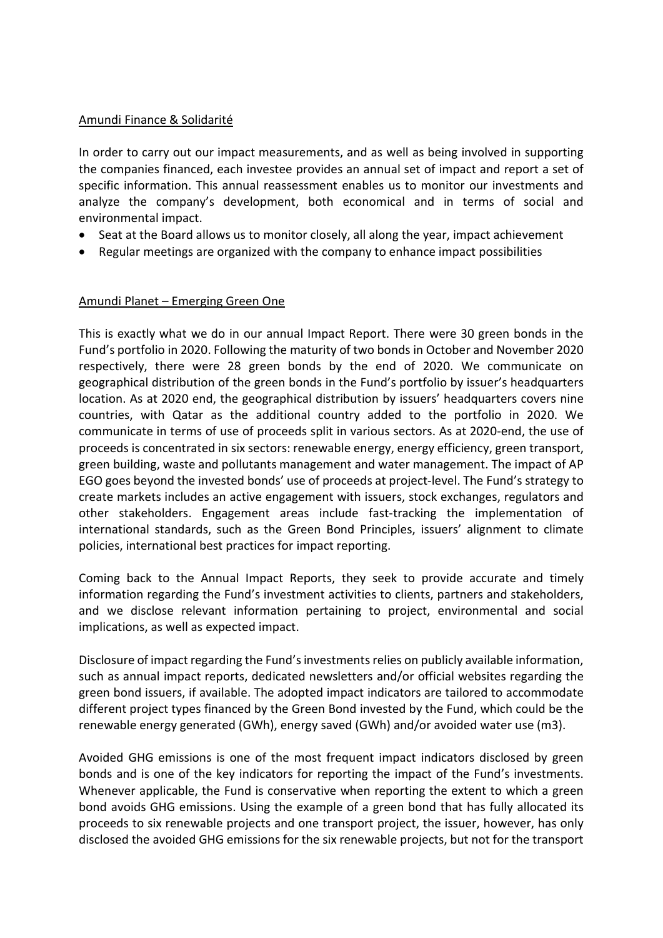### Amundi Finance & Solidarité

In order to carry out our impact measurements, and as well as being involved in supporting the companies financed, each investee provides an annual set of impact and report a set of specific information. This annual reassessment enables us to monitor our investments and analyze the company's development, both economical and in terms of social and environmental impact.

- Seat at the Board allows us to monitor closely, all along the year, impact achievement
- Regular meetings are organized with the company to enhance impact possibilities

### Amundi Planet – Emerging Green One

This is exactly what we do in our annual Impact Report. There were 30 green bonds in the Fund's portfolio in 2020. Following the maturity of two bonds in October and November 2020 respectively, there were 28 green bonds by the end of 2020. We communicate on geographical distribution of the green bonds in the Fund's portfolio by issuer's headquarters location. As at 2020 end, the geographical distribution by issuers' headquarters covers nine countries, with Qatar as the additional country added to the portfolio in 2020. We communicate in terms of use of proceeds split in various sectors. As at 2020-end, the use of proceeds is concentrated in six sectors: renewable energy, energy efficiency, green transport, green building, waste and pollutants management and water management. The impact of AP EGO goes beyond the invested bonds' use of proceeds at project-level. The Fund's strategy to create markets includes an active engagement with issuers, stock exchanges, regulators and other stakeholders. Engagement areas include fast-tracking the implementation of international standards, such as the Green Bond Principles, issuers' alignment to climate policies, international best practices for impact reporting.

Coming back to the Annual Impact Reports, they seek to provide accurate and timely information regarding the Fund's investment activities to clients, partners and stakeholders, and we disclose relevant information pertaining to project, environmental and social implications, as well as expected impact.

Disclosure of impact regarding the Fund's investments relies on publicly available information, such as annual impact reports, dedicated newsletters and/or official websites regarding the green bond issuers, if available. The adopted impact indicators are tailored to accommodate different project types financed by the Green Bond invested by the Fund, which could be the renewable energy generated (GWh), energy saved (GWh) and/or avoided water use (m3).

Avoided GHG emissions is one of the most frequent impact indicators disclosed by green bonds and is one of the key indicators for reporting the impact of the Fund's investments. Whenever applicable, the Fund is conservative when reporting the extent to which a green bond avoids GHG emissions. Using the example of a green bond that has fully allocated its proceeds to six renewable projects and one transport project, the issuer, however, has only disclosed the avoided GHG emissions for the six renewable projects, but not for the transport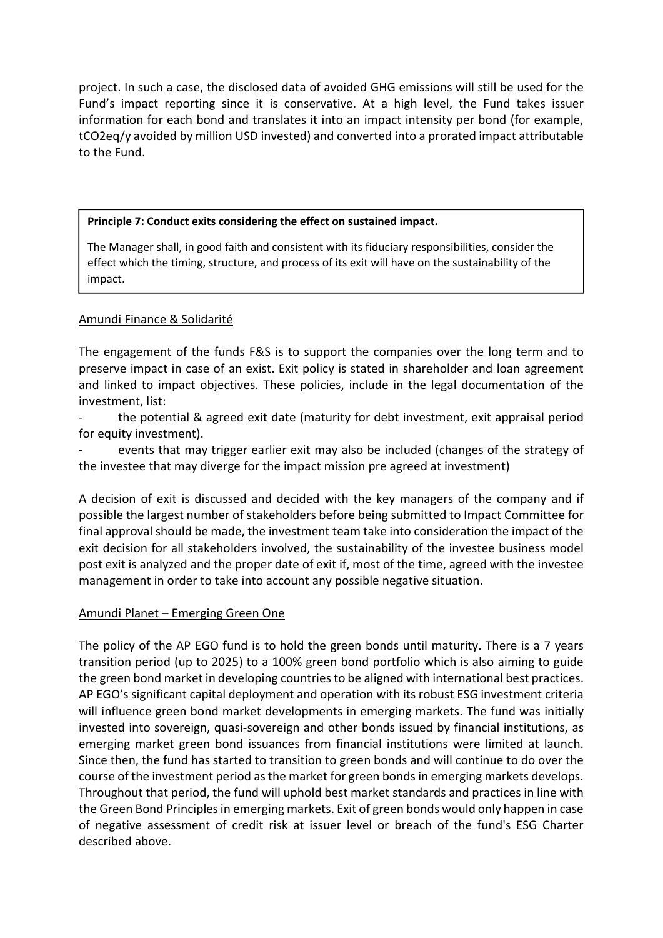project. In such a case, the disclosed data of avoided GHG emissions will still be used for the Fund's impact reporting since it is conservative. At a high level, the Fund takes issuer information for each bond and translates it into an impact intensity per bond (for example, tCO2eq/y avoided by million USD invested) and converted into a prorated impact attributable to the Fund.

### Principle 7: Conduct exits considering the effect on sustained impact.

The Manager shall, in good faith and consistent with its fiduciary responsibilities, consider the effect which the timing, structure, and process of its exit will have on the sustainability of the impact.

### Amundi Finance & Solidarité

The engagement of the funds F&S is to support the companies over the long term and to preserve impact in case of an exist. Exit policy is stated in shareholder and loan agreement and linked to impact objectives. These policies, include in the legal documentation of the investment, list:

the potential & agreed exit date (maturity for debt investment, exit appraisal period for equity investment).

events that may trigger earlier exit may also be included (changes of the strategy of the investee that may diverge for the impact mission pre agreed at investment)

A decision of exit is discussed and decided with the key managers of the company and if possible the largest number of stakeholders before being submitted to Impact Committee for final approval should be made, the investment team take into consideration the impact of the exit decision for all stakeholders involved, the sustainability of the investee business model post exit is analyzed and the proper date of exit if, most of the time, agreed with the investee management in order to take into account any possible negative situation.

# Amundi Planet – Emerging Green One

The policy of the AP EGO fund is to hold the green bonds until maturity. There is a 7 years transition period (up to 2025) to a 100% green bond portfolio which is also aiming to guide the green bond market in developing countries to be aligned with international best practices. AP EGO's significant capital deployment and operation with its robust ESG investment criteria will influence green bond market developments in emerging markets. The fund was initially invested into sovereign, quasi-sovereign and other bonds issued by financial institutions, as emerging market green bond issuances from financial institutions were limited at launch. Since then, the fund has started to transition to green bonds and will continue to do over the course of the investment period as the market for green bonds in emerging markets develops. Throughout that period, the fund will uphold best market standards and practices in line with the Green Bond Principles in emerging markets. Exit of green bonds would only happen in case of negative assessment of credit risk at issuer level or breach of the fund's ESG Charter described above.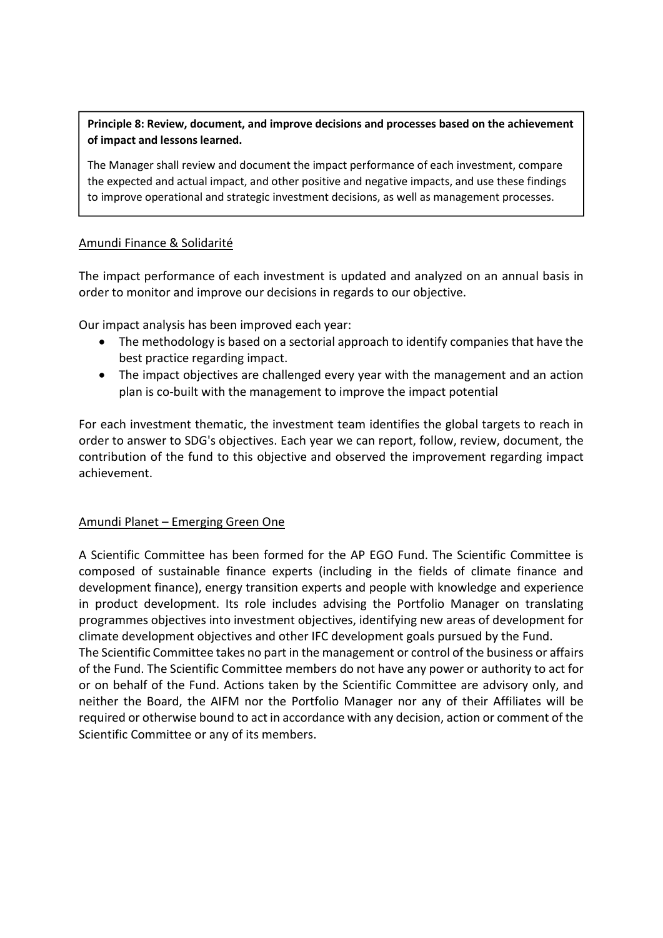Principle 8: Review, document, and improve decisions and processes based on the achievement of impact and lessons learned.

The Manager shall review and document the impact performance of each investment, compare the expected and actual impact, and other positive and negative impacts, and use these findings to improve operational and strategic investment decisions, as well as management processes.

# Amundi Finance & Solidarité

The impact performance of each investment is updated and analyzed on an annual basis in order to monitor and improve our decisions in regards to our objective.

Our impact analysis has been improved each year:

- The methodology is based on a sectorial approach to identify companies that have the best practice regarding impact.
- The impact objectives are challenged every year with the management and an action plan is co-built with the management to improve the impact potential

For each investment thematic, the investment team identifies the global targets to reach in order to answer to SDG's objectives. Each year we can report, follow, review, document, the contribution of the fund to this objective and observed the improvement regarding impact achievement.

### Amundi Planet – Emerging Green One

A Scientific Committee has been formed for the AP EGO Fund. The Scientific Committee is composed of sustainable finance experts (including in the fields of climate finance and development finance), energy transition experts and people with knowledge and experience in product development. Its role includes advising the Portfolio Manager on translating programmes objectives into investment objectives, identifying new areas of development for climate development objectives and other IFC development goals pursued by the Fund.

The Scientific Committee takes no part in the management or control of the business or affairs of the Fund. The Scientific Committee members do not have any power or authority to act for or on behalf of the Fund. Actions taken by the Scientific Committee are advisory only, and neither the Board, the AIFM nor the Portfolio Manager nor any of their Affiliates will be required or otherwise bound to act in accordance with any decision, action or comment of the Scientific Committee or any of its members.